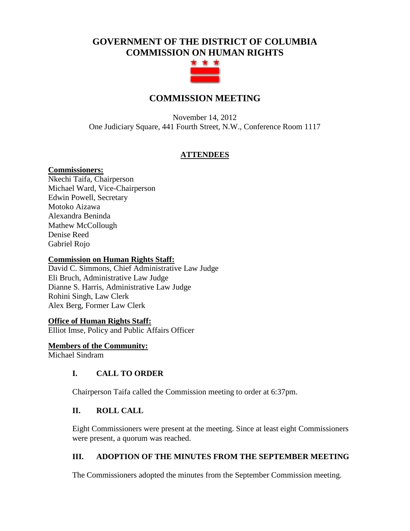## **GOVERNMENT OF THE DISTRICT OF COLUMBIA COMMISSION ON HUMAN RIGHTS**



## **COMMISSION MEETING**

November 14, 2012 One Judiciary Square, 441 Fourth Street, N.W., Conference Room 1117

#### **ATTENDEES**

#### **Commissioners:**

Nkechi Taifa, Chairperson Michael Ward, Vice-Chairperson Edwin Powell, Secretary Motoko Aizawa Alexandra Beninda Mathew McCollough Denise Reed Gabriel Rojo

#### **Commission on Human Rights Staff:**

David C. Simmons, Chief Administrative Law Judge Eli Bruch, Administrative Law Judge Dianne S. Harris, Administrative Law Judge Rohini Singh, Law Clerk Alex Berg, Former Law Clerk

# **Office of Human Rights Staff:**

Elliot Imse, Policy and Public Affairs Officer

**Members of the Community:** Michael Sindram

#### **I. CALL TO ORDER**

Chairperson Taifa called the Commission meeting to order at 6:37pm.

#### **II. ROLL CALL**

Eight Commissioners were present at the meeting. Since at least eight Commissioners were present, a quorum was reached.

#### **III. ADOPTION OF THE MINUTES FROM THE SEPTEMBER MEETING**

The Commissioners adopted the minutes from the September Commission meeting.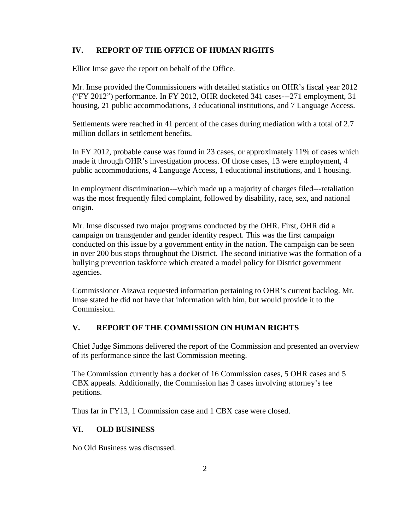#### **IV. REPORT OF THE OFFICE OF HUMAN RIGHTS**

Elliot Imse gave the report on behalf of the Office.

Mr. Imse provided the Commissioners with detailed statistics on OHR's fiscal year 2012 ("FY 2012") performance. In FY 2012, OHR docketed 341 cases---271 employment, 31 housing, 21 public accommodations, 3 educational institutions, and 7 Language Access.

Settlements were reached in 41 percent of the cases during mediation with a total of 2.7 million dollars in settlement benefits.

In FY 2012, probable cause was found in 23 cases, or approximately 11% of cases which made it through OHR's investigation process. Of those cases, 13 were employment, 4 public accommodations, 4 Language Access, 1 educational institutions, and 1 housing.

In employment discrimination---which made up a majority of charges filed---retaliation was the most frequently filed complaint, followed by disability, race, sex, and national origin.

Mr. Imse discussed two major programs conducted by the OHR. First, OHR did a campaign on transgender and gender identity respect. This was the first campaign conducted on this issue by a government entity in the nation. The campaign can be seen in over 200 bus stops throughout the District. The second initiative was the formation of a bullying prevention taskforce which created a model policy for District government agencies.

Commissioner Aizawa requested information pertaining to OHR's current backlog. Mr. Imse stated he did not have that information with him, but would provide it to the Commission.

### **V. REPORT OF THE COMMISSION ON HUMAN RIGHTS**

Chief Judge Simmons delivered the report of the Commission and presented an overview of its performance since the last Commission meeting.

The Commission currently has a docket of 16 Commission cases, 5 OHR cases and 5 CBX appeals. Additionally, the Commission has 3 cases involving attorney's fee petitions.

Thus far in FY13, 1 Commission case and 1 CBX case were closed.

#### **VI. OLD BUSINESS**

No Old Business was discussed.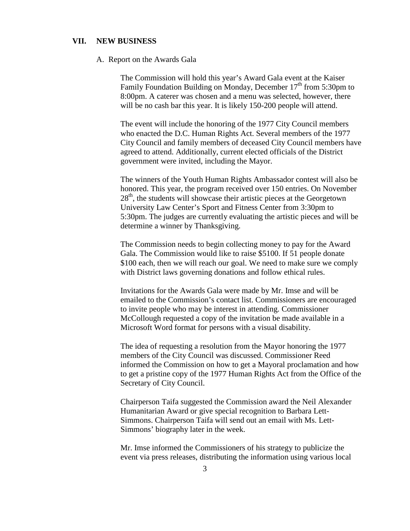#### **VII. NEW BUSINESS**

#### A. Report on the Awards Gala

The Commission will hold this year's Award Gala event at the Kaiser Family Foundation Building on Monday, December  $17<sup>th</sup>$  from 5:30pm to 8:00pm. A caterer was chosen and a menu was selected, however, there will be no cash bar this year. It is likely 150-200 people will attend.

The event will include the honoring of the 1977 City Council members who enacted the D.C. Human Rights Act. Several members of the 1977 City Council and family members of deceased City Council members have agreed to attend. Additionally, current elected officials of the District government were invited, including the Mayor.

The winners of the Youth Human Rights Ambassador contest will also be honored. This year, the program received over 150 entries. On November  $28<sup>th</sup>$ , the students will showcase their artistic pieces at the Georgetown University Law Center's Sport and Fitness Center from 3:30pm to 5:30pm. The judges are currently evaluating the artistic pieces and will be determine a winner by Thanksgiving.

The Commission needs to begin collecting money to pay for the Award Gala. The Commission would like to raise \$5100. If 51 people donate \$100 each, then we will reach our goal. We need to make sure we comply with District laws governing donations and follow ethical rules.

Invitations for the Awards Gala were made by Mr. Imse and will be emailed to the Commission's contact list. Commissioners are encouraged to invite people who may be interest in attending. Commissioner McCollough requested a copy of the invitation be made available in a Microsoft Word format for persons with a visual disability.

The idea of requesting a resolution from the Mayor honoring the 1977 members of the City Council was discussed. Commissioner Reed informed the Commission on how to get a Mayoral proclamation and how to get a pristine copy of the 1977 Human Rights Act from the Office of the Secretary of City Council.

Chairperson Taifa suggested the Commission award the Neil Alexander Humanitarian Award or give special recognition to Barbara Lett-Simmons. Chairperson Taifa will send out an email with Ms. Lett-Simmons' biography later in the week.

Mr. Imse informed the Commissioners of his strategy to publicize the event via press releases, distributing the information using various local